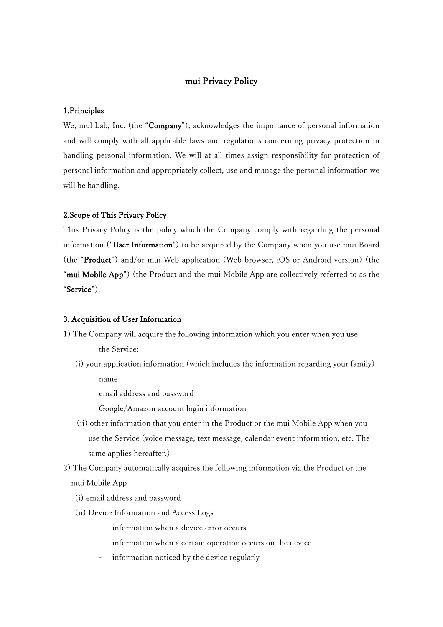# mui Privacy Policy

## 1.Principles

We, mul Lab, Inc. (the "Company"), acknowledges the importance of personal information and will comply with all applicable laws and regulations concerning privacy protection in handling personal information. We will at all times assign responsibility for protection of personal information and appropriately collect, use and manage the personal information we will be handling.

#### 2.Scope of This Privacy Policy

This Privacy Policy is the policy which the Company comply with regarding the personal information ("User Information") to be acquired by the Company when you use mui Board (the "Product") and/or mui Web application (Web browser, iOS or Android version) (the "mui Mobile App") (the Product and the mui Mobile App are collectively referred to as the "Service").

#### 3. Acquisition of User Information

- 1) The Company will acquire the following information which you enter when you use the Service:
	- (i) your application information (which includes the information regarding your family)

name

email address and password

Google/Amazon account login information

- (ii) other information that you enter in the Product or the mui Mobile App when you use the Service (voice message, text message, calendar event information, etc. The same applies hereafter.)
- 2) The Company automatically acquires the following information via the Product or the mui Mobile App
	- (i) email address and password
	- (ii) Device Information and Access Logs
		- information when a device error occurs
		- information when a certain operation occurs on the device
		- information noticed by the device regularly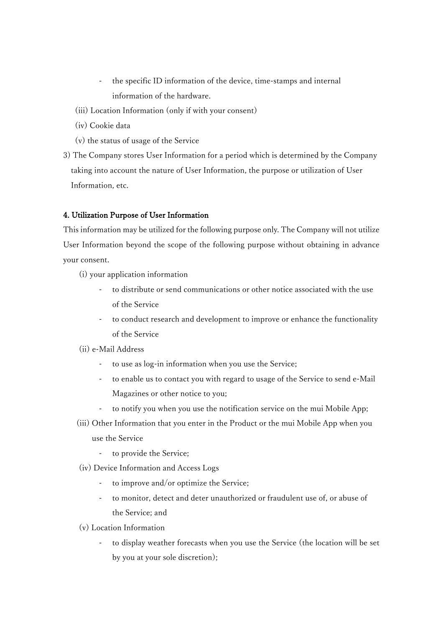- the specific ID information of the device, time-stamps and internal information of the hardware.
- (iii) Location Information (only if with your consent)
- (iv) Cookie data
- (v) the status of usage of the Service
- 3) The Company stores User Information for a period which is determined by the Company taking into account the nature of User Information, the purpose or utilization of User Information, etc.

## 4. Utilization Purpose of User Information

This information may be utilized for the following purpose only. The Company will not utilize User Information beyond the scope of the following purpose without obtaining in advance your consent.

(i) your application information

- to distribute or send communications or other notice associated with the use of the Service
- to conduct research and development to improve or enhance the functionality of the Service
- (ii) e-Mail Address
	- to use as log-in information when you use the Service;
	- to enable us to contact you with regard to usage of the Service to send e-Mail Magazines or other notice to you;
	- to notify you when you use the notification service on the mui Mobile App;
- (iii) Other Information that you enter in the Product or the mui Mobile App when you use the Service
	- to provide the Service;
- (iv) Device Information and Access Logs
	- to improve and/or optimize the Service;
	- to monitor, detect and deter unauthorized or fraudulent use of, or abuse of the Service; and
- (v) Location Information
	- to display weather forecasts when you use the Service (the location will be set by you at your sole discretion);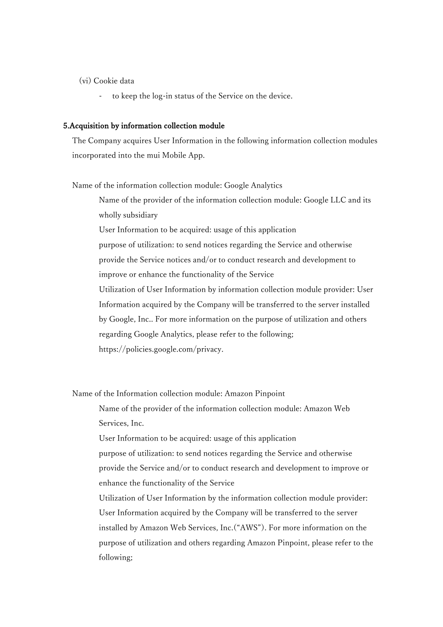- (vi) Cookie data
	- to keep the log-in status of the Service on the device.

## 5.Acquisition by information collection module

The Company acquires User Information in the following information collection modules incorporated into the mui Mobile App.

Name of the information collection module: Google Analytics

Name of the provider of the information collection module: Google LLC and its wholly subsidiary

User Information to be acquired: usage of this application purpose of utilization: to send notices regarding the Service and otherwise provide the Service notices and/or to conduct research and development to improve or enhance the functionality of the Service Utilization of User Information by information collection module provider: User Information acquired by the Company will be transferred to the server installed by Google, Inc.. For more information on the purpose of utilization and others regarding Google Analytics, please refer to the following; https://policies.google.com/privacy.

Name of the Information collection module: Amazon Pinpoint

Name of the provider of the information collection module: Amazon Web Services, Inc.

User Information to be acquired: usage of this application

purpose of utilization: to send notices regarding the Service and otherwise provide the Service and/or to conduct research and development to improve or enhance the functionality of the Service

Utilization of User Information by the information collection module provider: User Information acquired by the Company will be transferred to the server installed by Amazon Web Services, Inc.("AWS"). For more information on the purpose of utilization and others regarding Amazon Pinpoint, please refer to the following;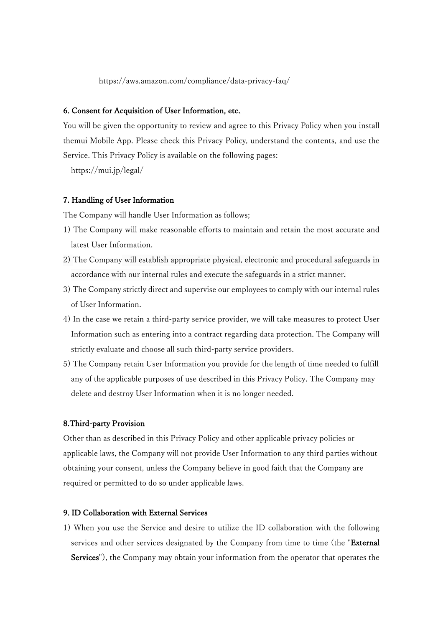https://aws.amazon.com/compliance/data-privacy-faq/

#### 6. Consent for Acquisition of User Information, etc.

You will be given the opportunity to review and agree to this Privacy Policy when you install themui Mobile App. Please check this Privacy Policy, understand the contents, and use the Service. This Privacy Policy is available on the following pages:

https://mui.jp/legal/

#### 7. Handling of User Information

The Company will handle User Information as follows;

- 1) The Company will make reasonable efforts to maintain and retain the most accurate and latest User Information.
- 2) The Company will establish appropriate physical, electronic and procedural safeguards in accordance with our internal rules and execute the safeguards in a strict manner.
- 3) The Company strictly direct and supervise our employees to comply with our internal rules of User Information.
- 4) In the case we retain a third-party service provider, we will take measures to protect User Information such as entering into a contract regarding data protection. The Company will strictly evaluate and choose all such third-party service providers.
- 5) The Company retain User Information you provide for the length of time needed to fulfill any of the applicable purposes of use described in this Privacy Policy. The Company may delete and destroy User Information when it is no longer needed.

# 8.Third-party Provision

Other than as described in this Privacy Policy and other applicable privacy policies or applicable laws, the Company will not provide User Information to any third parties without obtaining your consent, unless the Company believe in good faith that the Company are required or permitted to do so under applicable laws.

# 9. ID Collaboration with External Services

1) When you use the Service and desire to utilize the ID collaboration with the following services and other services designated by the Company from time to time (the "External Services"), the Company may obtain your information from the operator that operates the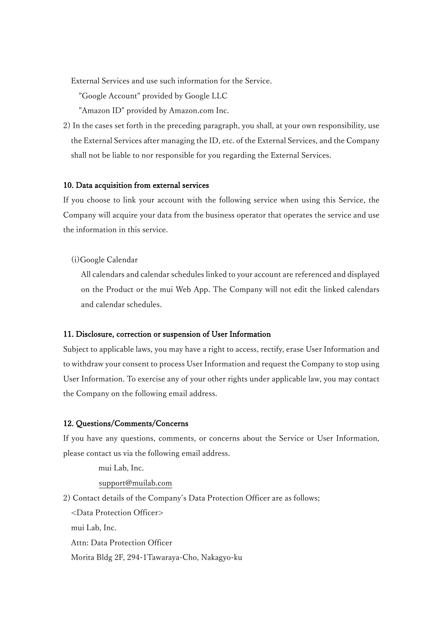External Services and use such information for the Service.

"Google Account" provided by Google LLC

"Amazon ID" provided by Amazon.com Inc.

2) In the cases set forth in the preceding paragraph, you shall, at your own responsibility, use the External Services after managing the ID, etc. of the External Services, and the Company shall not be liable to nor responsible for you regarding the External Services.

## 10. Data acquisition from external services

If you choose to link your account with the following service when using this Service, the Company will acquire your data from the business operator that operates the service and use the information in this service.

(i)Google Calendar

All calendars and calendar schedules linked to your account are referenced and displayed on the Product or the mui Web App. The Company will not edit the linked calendars and calendar schedules.

#### 11. Disclosure, correction or suspension of User Information

Subject to applicable laws, you may have a right to access, rectify, erase User Information and to withdraw your consent to process User Information and request the Company to stop using User Information. To exercise any of your other rights under applicable law, you may contact the Company on the following email address.

# 12. Questions/Comments/Concerns

If you have any questions, comments, or concerns about the Service or User Information, please contact us via the following email address.

 mui Lab, Inc. support@muilab.com 2) Contact details of the Company's Data Protection Officer are as follows;

<Data Protection Officer>

mui Lab, Inc.

Attn: Data Protection Officer

Morita Bldg 2F, 294-1Tawaraya-Cho, Nakagyo-ku